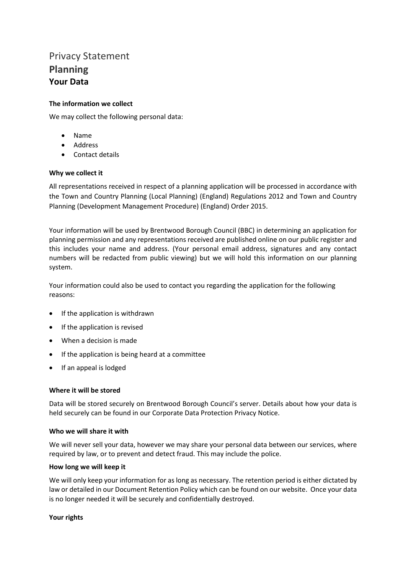# Privacy Statement **Planning Your Data**

# **The information we collect**

We may collect the following personal data:

- Name
- **Address**
- Contact details

# **Why we collect it**

All representations received in respect of a planning application will be processed in accordance with the Town and Country Planning (Local Planning) (England) Regulations 2012 and Town and Country Planning (Development Management Procedure) (England) Order 2015.

Your information will be used by Brentwood Borough Council (BBC) in determining an application for planning permission and any representations received are published online on our public register and this includes your name and address. (Your personal email address, signatures and any contact numbers will be redacted from public viewing) but we will hold this information on our planning system.

Your information could also be used to contact you regarding the application for the following reasons:

- If the application is withdrawn
- If the application is revised
- When a decision is made
- If the application is being heard at a committee
- If an appeal is lodged

### **Where it will be stored**

Data will be stored securely on Brentwood Borough Council's server. Details about how your data is held securely can be found in our Corporate Data Protection Privacy Notice.

### **Who we will share it with**

We will never sell your data, however we may share your personal data between our services, where required by law, or to prevent and detect fraud. This may include the police.

### **How long we will keep it**

We will only keep your information for as long as necessary. The retention period is either dictated by law or detailed in our Document Retention Policy which can be found on our website. Once your data is no longer needed it will be securely and confidentially destroyed.

### **Your rights**